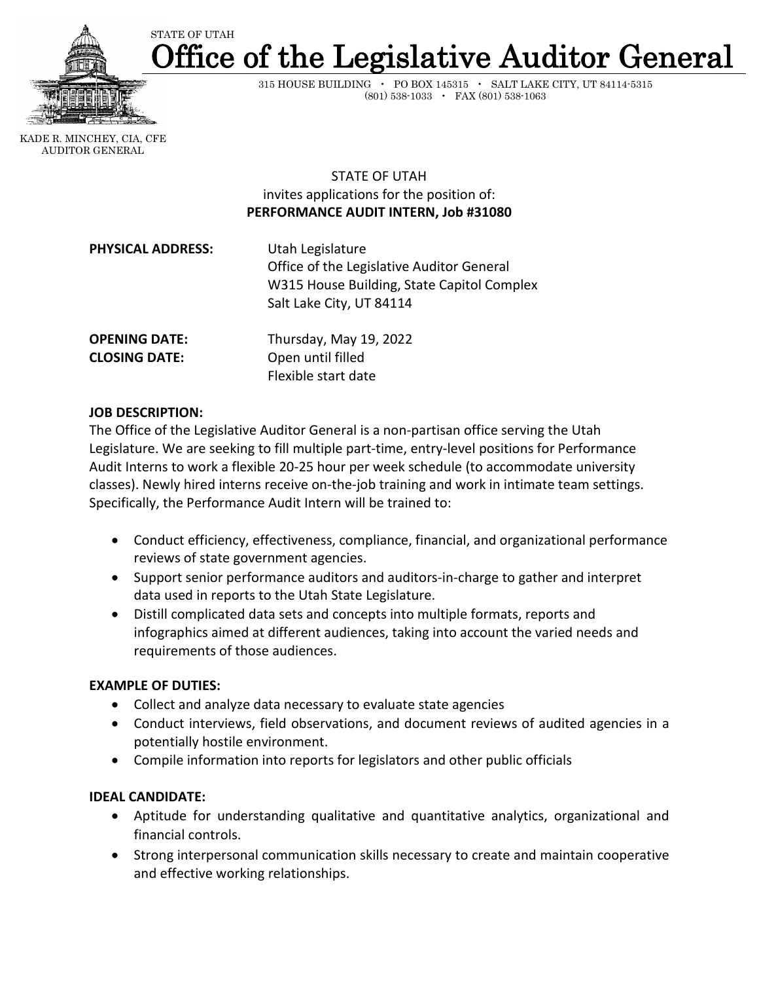

ffice of the Legislative Auditor General STATE OF UTAH

> 315 HOUSE BUILDING • PO BOX 145315 • SALT LAKE CITY, UT 84114-5315 (801) 538-1033 • FAX (801) 538-1063

 KADE R. MINCHEY, CIA, CFE AUDITOR GENERAL

> STATE OF UTAH invites applications for the position of: **PERFORMANCE AUDIT INTERN, Job #31080**

| Utah Legislature<br>Office of the Legislative Auditor General<br>W315 House Building, State Capitol Complex<br>Salt Lake City, UT 84114 |
|-----------------------------------------------------------------------------------------------------------------------------------------|
| Thursday, May 19, 2022<br>Open until filled                                                                                             |
|                                                                                                                                         |

Flexible start date

## **JOB DESCRIPTION:**

The Office of the Legislative Auditor General is a non-partisan office serving the Utah Legislature. We are seeking to fill multiple part-time, entry-level positions for Performance Audit Interns to work a flexible 20-25 hour per week schedule (to accommodate university classes). Newly hired interns receive on-the-job training and work in intimate team settings. Specifically, the Performance Audit Intern will be trained to:

- Conduct efficiency, effectiveness, compliance, financial, and organizational performance reviews of state government agencies.
- Support senior performance auditors and auditors-in-charge to gather and interpret data used in reports to the Utah State Legislature.
- Distill complicated data sets and concepts into multiple formats, reports and infographics aimed at different audiences, taking into account the varied needs and requirements of those audiences.

### **EXAMPLE OF DUTIES:**

- Collect and analyze data necessary to evaluate state agencies
- Conduct interviews, field observations, and document reviews of audited agencies in a potentially hostile environment.
- Compile information into reports for legislators and other public officials

# **IDEAL CANDIDATE:**

- Aptitude for understanding qualitative and quantitative analytics, organizational and financial controls.
- Strong interpersonal communication skills necessary to create and maintain cooperative and effective working relationships.